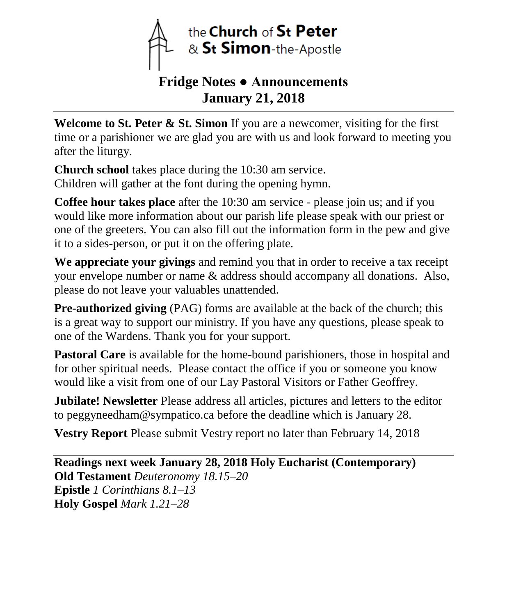

## **Fridge Notes ● Announcements January 21, 2018**

**Welcome to St. Peter & St. Simon** If you are a newcomer, visiting for the first time or a parishioner we are glad you are with us and look forward to meeting you after the liturgy.

**Church school** takes place during the 10:30 am service. Children will gather at the font during the opening hymn.

**Coffee hour takes place** after the 10:30 am service - please join us; and if you would like more information about our parish life please speak with our priest or one of the greeters. You can also fill out the information form in the pew and give it to a sides-person, or put it on the offering plate.

**We appreciate your givings** and remind you that in order to receive a tax receipt your envelope number or name & address should accompany all donations. Also, please do not leave your valuables unattended.

**Pre-authorized giving** (PAG) forms are available at the back of the church; this is a great way to support our ministry. If you have any questions, please speak to one of the Wardens. Thank you for your support.

**Pastoral Care** is available for the home-bound parishioners, those in hospital and for other spiritual needs. Please contact the office if you or someone you know would like a visit from one of our Lay Pastoral Visitors or Father Geoffrey.

**Jubilate! Newsletter** Please address all articles, pictures and letters to the editor to peggyneedham@sympatico.ca before the deadline which is January 28.

**Vestry Report** Please submit Vestry report no later than February 14, 2018

**Readings next week January 28, 2018 Holy Eucharist (Contemporary) Old Testament** *Deuteronomy 18.15–20* **Epistle** *1 Corinthians 8.1–13* **Holy Gospel** *Mark 1.21–28*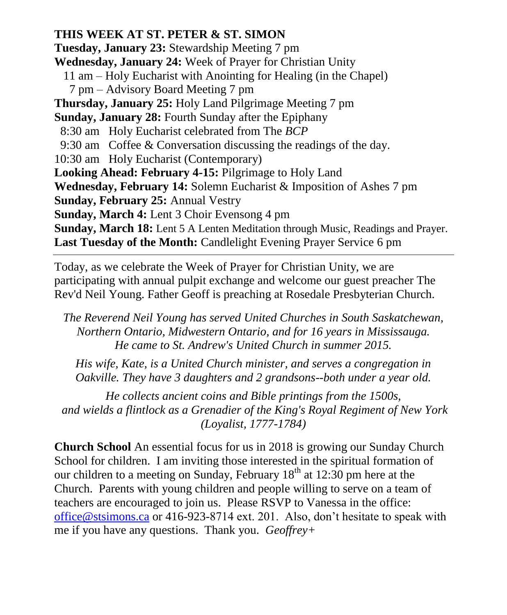**THIS WEEK AT ST. PETER & ST. SIMON Tuesday, January 23:** Stewardship Meeting 7 pm **Wednesday, January 24:** Week of Prayer for Christian Unity 11 am – Holy Eucharist with Anointing for Healing (in the Chapel) 7 pm – Advisory Board Meeting 7 pm **Thursday, January 25:** Holy Land Pilgrimage Meeting 7 pm **Sunday, January 28:** Fourth Sunday after the Epiphany 8:30 am Holy Eucharist celebrated from The *BCP* 9:30 am Coffee & Conversation discussing the readings of the day. 10:30 am Holy Eucharist (Contemporary) **Looking Ahead: February 4-15:** Pilgrimage to Holy Land **Wednesday, February 14:** Solemn Eucharist & Imposition of Ashes 7 pm **Sunday, February 25:** Annual Vestry **Sunday, March 4:** Lent 3 Choir Evensong 4 pm **Sunday, March 18:** Lent 5 A Lenten Meditation through Music, Readings and Prayer. **Last Tuesday of the Month:** Candlelight Evening Prayer Service 6 pm

Today, as we celebrate the Week of Prayer for Christian Unity, we are participating with annual pulpit exchange and welcome our guest preacher The Rev'd Neil Young. Father Geoff is preaching at Rosedale Presbyterian Church.

*The Reverend Neil Young has served United Churches in South Saskatchewan, Northern Ontario, Midwestern Ontario, and for 16 years in Mississauga. He came to St. Andrew's United Church in summer 2015.*

*His wife, Kate, is a United Church minister, and serves a congregation in Oakville. They have 3 daughters and 2 grandsons--both under a year old.*

*He collects ancient coins and Bible printings from the 1500s, and wields a flintlock as a Grenadier of the King's Royal Regiment of New York (Loyalist, 1777-1784)*

**Church School** An essential focus for us in 2018 is growing our Sunday Church School for children. I am inviting those interested in the spiritual formation of our children to a meeting on Sunday, February  $18<sup>th</sup>$  at  $12:30$  pm here at the Church. Parents with young children and people willing to serve on a team of teachers are encouraged to join us. Please RSVP to Vanessa in the office: [office@stsimons.ca](mailto:office@stsimons.ca) or 416-923-8714 ext. 201. Also, don't hesitate to speak with me if you have any questions. Thank you. *Geoffrey+*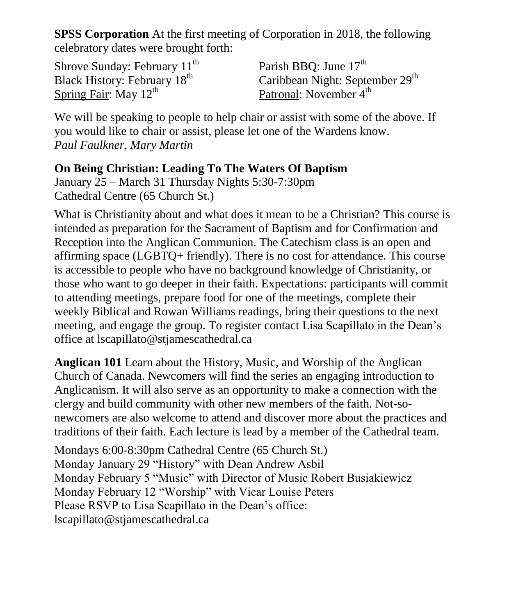**SPSS Corporation** At the first meeting of Corporation in 2018, the following celebratory dates were brought forth:

Shrove Sunday: February  $11<sup>th</sup>$ Black History: February 18<sup>th</sup> Spring Fair: May  $12^{th}$ 

Parish BBO: June  $17<sup>th</sup>$ Caribbean Night: September 29<sup>th</sup> Patronal: November 4<sup>th</sup>

We will be speaking to people to help chair or assist with some of the above. If you would like to chair or assist, please let one of the Wardens know. *Paul Faulkner, Mary Martin*

## **On Being Christian: Leading To The Waters Of Baptism**

January 25 – March 31 Thursday Nights 5:30-7:30pm Cathedral Centre (65 Church St.)

What is Christianity about and what does it mean to be a Christian? This course is intended as preparation for the Sacrament of Baptism and for Confirmation and Reception into the Anglican Communion. The Catechism class is an open and affirming space (LGBTQ+ friendly). There is no cost for attendance. This course is accessible to people who have no background knowledge of Christianity, or those who want to go deeper in their faith. Expectations: participants will commit to attending meetings, prepare food for one of the meetings, complete their weekly Biblical and Rowan Williams readings, bring their questions to the next meeting, and engage the group. To register contact Lisa Scapillato in the Dean's office at lscapillato@stjamescathedral.ca

**Anglican 101** Learn about the History, Music, and Worship of the Anglican Church of Canada. Newcomers will find the series an engaging introduction to Anglicanism. It will also serve as an opportunity to make a connection with the clergy and build community with other new members of the faith. Not-sonewcomers are also welcome to attend and discover more about the practices and traditions of their faith. Each lecture is lead by a member of the Cathedral team.

Mondays 6:00-8:30pm Cathedral Centre (65 Church St.) Monday January 29 "History" with Dean Andrew Asbil Monday February 5 "Music" with Director of Music Robert Busiakiewicz Monday February 12 "Worship" with Vicar Louise Peters Please RSVP to Lisa Scapillato in the Dean's office: lscapillato@stjamescathedral.ca